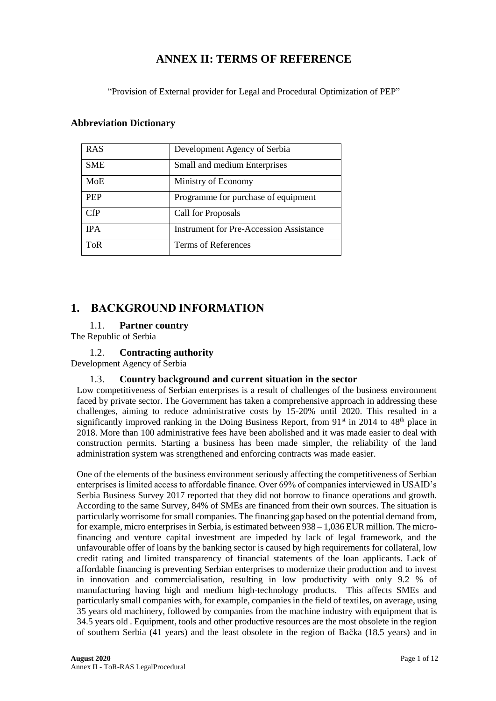# **ANNEX II: TERMS OF REFERENCE**

"Provision of External provider for Legal and Procedural Optimization of PEP"

# **Abbreviation Dictionary**

| <b>RAS</b> | Development Agency of Serbia                   |
|------------|------------------------------------------------|
| <b>SME</b> | Small and medium Enterprises                   |
| <b>MoE</b> | Ministry of Economy                            |
| <b>PEP</b> | Programme for purchase of equipment            |
| CFP        | Call for Proposals                             |
| <b>IPA</b> | <b>Instrument for Pre-Accession Assistance</b> |
| ToR        | Terms of References                            |

# **1. BACKGROUND INFORMATION**

# 1.1. **Partner country**

The Republic of Serbia

# 1.2. **Contracting authority**

Development Agency of Serbia

## 1.3. **Country background and current situation in the sector**

Low competitiveness of Serbian enterprises is a result of challenges of the business environment faced by private sector. The Government has taken a comprehensive approach in addressing these challenges, aiming to reduce administrative costs by 15-20% until 2020. This resulted in a significantly improved ranking in the Doing Business Report, from 91<sup>st</sup> in 2014 to 48<sup>th</sup> place in 2018. More than 100 administrative fees have been abolished and it was made easier to deal with construction permits. Starting a business has been made simpler, the reliability of the land administration system was strengthened and enforcing contracts was made easier.

One of the elements of the business environment seriously affecting the competitiveness of Serbian enterprises is limited access to affordable finance. Over 69% of companies interviewed in USAID's Serbia Business Survey 2017 reported that they did not borrow to finance operations and growth. According to the same Survey, 84% of SMEs are financed from their own sources. The situation is particularly worrisome for small companies. The financing gap based on the potential demand from, for example, micro enterprises in Serbia, is estimated between 938 – 1,036 EUR million. The microfinancing and venture capital investment are impeded by lack of legal framework, and the unfavourable offer of loans by the banking sector is caused by high requirements for collateral, low credit rating and limited transparency of financial statements of the loan applicants. Lack of affordable financing is preventing Serbian enterprises to modernize their production and to invest in innovation and commercialisation, resulting in low productivity with only 9.2 % of manufacturing having high and medium high-technology products. This affects SMEs and particularly small companies with, for example, companies in the field of textiles, on average, using 35 years old machinery, followed by companies from the machine industry with equipment that is 34.5 years old . Equipment, tools and other productive resources are the most obsolete in the region of southern Serbia (41 years) and the least obsolete in the region of Bačka (18.5 years) and in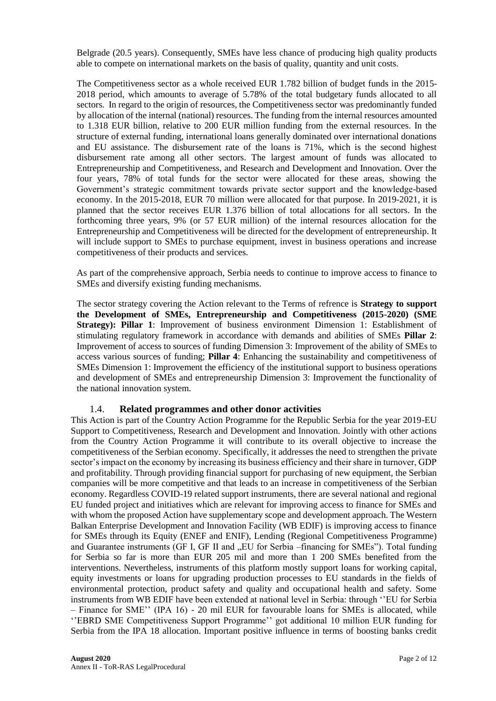Belgrade (20.5 years). Consequently, SMEs have less chance of producing high quality products able to compete on international markets on the basis of quality, quantity and unit costs.

The Competitiveness sector as a whole received EUR 1.782 billion of budget funds in the 2015- 2018 period, which amounts to average of 5.78% of the total budgetary funds allocated to all sectors. In regard to the origin of resources, the Competitiveness sector was predominantly funded by allocation of the internal (national) resources. The funding from the internal resources amounted to 1.318 EUR billion, relative to 200 EUR million funding from the external resources. In the structure of external funding, international loans generally dominated over international donations and EU assistance. The disbursement rate of the loans is 71%, which is the second highest disbursement rate among all other sectors. The largest amount of funds was allocated to Entrepreneurship and Competitiveness, and Research and Development and Innovation. Over the four years, 78% of total funds for the sector were allocated for these areas, showing the Government's strategic commitment towards private sector support and the knowledge-based economy. In the 2015-2018, EUR 70 million were allocated for that purpose. In 2019-2021, it is planned that the sector receives EUR 1.376 billion of total allocations for all sectors. In the forthcoming three years, 9% (or 57 EUR million) of the internal resources allocation for the Entrepreneurship and Competitiveness will be directed for the development of entrepreneurship. It will include support to SMEs to purchase equipment, invest in business operations and increase competitiveness of their products and services.

As part of the comprehensive approach, Serbia needs to continue to improve access to finance to SMEs and diversify existing funding mechanisms.

The sector strategy covering the Action relevant to the Terms of refrence is **Strategy to support the Development of SMEs, Entrepreneurship and Competitiveness (2015-2020) (SME Strategy): Pillar 1:** Improvement of business environment Dimension 1: Establishment of stimulating regulatory framework in accordance with demands and abilities of SMEs **Pillar 2**: Improvement of access to sources of funding Dimension 3: Improvement of the ability of SMEs to access various sources of funding; **Pillar 4**: Enhancing the sustainability and competitiveness of SMEs Dimension 1: Improvement the efficiency of the institutional support to business operations and development of SMEs and entrepreneurship Dimension 3: Improvement the functionality of the national innovation system.

#### 1.4. **Related programmes and other donor activities**

This Action is part of the Country Action Programme for the Republic Serbia for the year 2019-EU Support to Competitiveness, Research and Development and Innovation. Jointly with other actions from the Country Action Programme it will contribute to its overall objective to increase the competitiveness of the Serbian economy. Specifically, it addresses the need to strengthen the private sector's impact on the economy by increasing its business efficiency and their share in turnover, GDP and profitability. Through providing financial support for purchasing of new equipment, the Serbian companies will be more competitive and that leads to an increase in competitiveness of the Serbian economy. Regardless COVID-19 related support instruments, there are several national and regional EU funded project and initiatives which are relevant for improving access to finance for SMEs and with whom the proposed Action have supplementary scope and development approach. The Western Balkan Enterprise Development and Innovation Facility (WB EDIF) is improving access to finance for SMEs through its Equity (ENEF and ENIF), Lending (Regional Competitiveness Programme) and Guarantee instruments (GF I, GF II and "EU for Serbia –financing for SMEs"). Total funding for Serbia so far is more than EUR 205 mil and more than 1 200 SMEs benefited from the interventions. Nevertheless, instruments of this platform mostly support loans for working capital, equity investments or loans for upgrading production processes to EU standards in the fields of environmental protection, product safety and quality and occupational health and safety. Some instruments from WB EDIF have been extended at national level in Serbia: through ''EU for Serbia – Finance for SME'' (IPA 16) - 20 mil EUR for favourable loans for SMEs is allocated, while ''EBRD SME Competitiveness Support Programme'' got additional 10 million EUR funding for Serbia from the IPA 18 allocation. Important positive influence in terms of boosting banks credit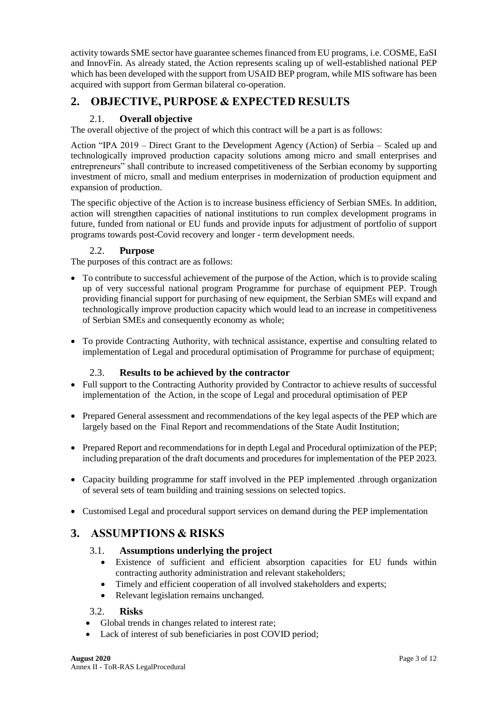activity towards SME sector have guarantee schemes financed from EU programs, i.e. COSME, EaSI and InnovFin. As already stated, the Action represents scaling up of well-established national PEP which has been developed with the support from USAID BEP program, while MIS software has been acquired with support from German bilateral co-operation.

# **2. OBJECTIVE, PURPOSE & EXPECTED RESULTS**

# 2.1. **Overall objective**

The overall objective of the project of which this contract will be a part is as follows:

Action "IPA 2019 – Direct Grant to the Development Agency (Action) of Serbia – Scaled up and technologically improved production capacity solutions among micro and small enterprises and entrepreneurs" shall contribute to increased competitiveness of the Serbian economy by supporting investment of micro, small and medium enterprises in modernization of production equipment and expansion of production.

The specific objective of the Action is to increase business efficiency of Serbian SMEs. In addition, action will strengthen capacities of national institutions to run complex development programs in future, funded from national or EU funds and provide inputs for adjustment of portfolio of support programs towards post-Covid recovery and longer - term development needs.

# 2.2. **Purpose**

The purposes of this contract are as follows:

- To contribute to successful achievement of the purpose of the Action, which is to provide scaling up of very successful national program Programme for purchase of equipment PEP. Trough providing financial support for purchasing of new equipment, the Serbian SMEs will expand and technologically improve production capacity which would lead to an increase in competitiveness of Serbian SMEs and consequently economy as whole;
- To provide Contracting Authority, with technical assistance, expertise and consulting related to implementation of Legal and procedural optimisation of Programme for purchase of equipment;

# 2.3. **Results to be achieved by the contractor**

- Full support to the Contracting Authority provided by Contractor to achieve results of successful implementation of the Action, in the scope of Legal and procedural optimisation of PEP
- Prepared General assessment and recommendations of the key legal aspects of the PEP which are largely based on the Final Report and recommendations of the State Audit Institution;
- Prepared Report and recommendations for in depth Legal and Procedural optimization of the PEP; including preparation of the draft documents and procedures for implementation of the PEP 2023.
- Capacity building programme for staff involved in the PEP implemented .through organization of several sets of team building and training sessions on selected topics.
- Customised Legal and procedural support services on demand during the PEP implementation

# **3. ASSUMPTIONS & RISKS**

# 3.1. **Assumptions underlying the project**

- Existence of sufficient and efficient absorption capacities for EU funds within contracting authority administration and relevant stakeholders;
- Timely and efficient cooperation of all involved stakeholders and experts;
- Relevant legislation remains unchanged.

## 3.2. **Risks**

- Global trends in changes related to interest rate;
- Lack of interest of sub beneficiaries in post COVID period;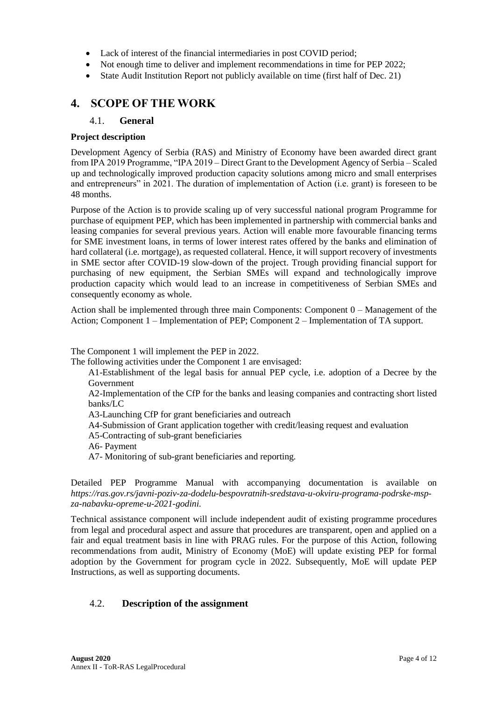- Lack of interest of the financial intermediaries in post COVID period:
- Not enough time to deliver and implement recommendations in time for PEP 2022;
- State Audit Institution Report not publicly available on time (first half of Dec. 21)

# **4. SCOPE OF THE WORK**

### 4.1. **General**

### **Project description**

Development Agency of Serbia (RAS) and Ministry of Economy have been awarded direct grant from IPA 2019 Programme, "IPA 2019 – Direct Grant to the Development Agency of Serbia – Scaled up and technologically improved production capacity solutions among micro and small enterprises and entrepreneurs" in 2021. The duration of implementation of Action (i.e. grant) is foreseen to be 48 months.

Purpose of the Action is to provide scaling up of very successful national program Programme for purchase of equipment PEP, which has been implemented in partnership with commercial banks and leasing companies for several previous years. Action will enable more favourable financing terms for SME investment loans, in terms of lower interest rates offered by the banks and elimination of hard collateral (i.e. mortgage), as requested collateral. Hence, it will support recovery of investments in SME sector after COVID-19 slow-down of the project. Trough providing financial support for purchasing of new equipment, the Serbian SMEs will expand and technologically improve production capacity which would lead to an increase in competitiveness of Serbian SMEs and consequently economy as whole.

Action shall be implemented through three main Components: Component 0 – Management of the Action; Component 1 – Implementation of PEP; Component 2 – Implementation of TA support.

The Component 1 will implement the PEP in 2022.

The following activities under the Component 1 are envisaged:

A1-Establishment of the legal basis for annual PEP cycle, i.e. adoption of a Decree by the Government

A2-Implementation of the CfP for the banks and leasing companies and contracting short listed banks/LC

- A3-Launching CfP for grant beneficiaries and outreach
- A4-Submission of Grant application together with credit/leasing request and evaluation
- A5-Contracting of sub-grant beneficiaries
- A6- Payment
- A7- Monitoring of sub-grant beneficiaries and reporting.

Detailed PEP Programme Manual with accompanying documentation is available on *https://ras.gov.rs/javni-poziv-za-dodelu-bespovratnih-sredstava-u-okviru-programa-podrske-mspza-nabavku-opreme-u-2021-godini.*

Technical assistance component will include independent audit of existing programme procedures from legal and procedural aspect and assure that procedures are transparent, open and applied on a fair and equal treatment basis in line with PRAG rules. For the purpose of this Action, following recommendations from audit, Ministry of Economy (MoE) will update existing PEP for formal adoption by the Government for program cycle in 2022. Subsequently, MoE will update PEP Instructions, as well as supporting documents.

# 4.2. **Description of the assignment**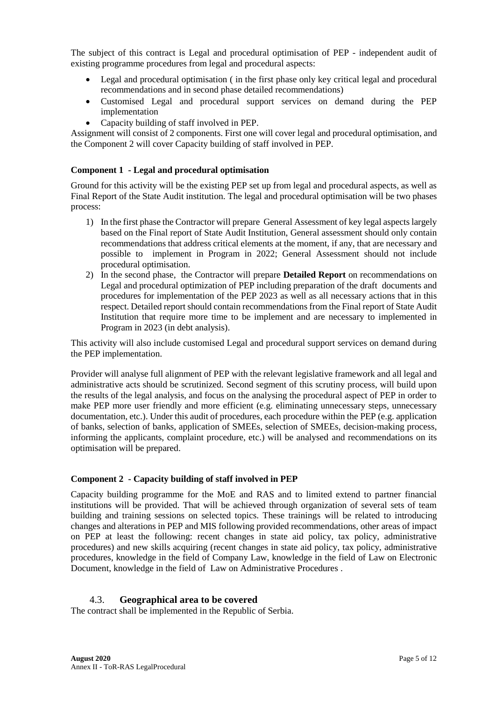The subject of this contract is Legal and procedural optimisation of PEP - independent audit of existing programme procedures from legal and procedural aspects:

- Legal and procedural optimisation (in the first phase only key critical legal and procedural recommendations and in second phase detailed recommendations)
- Customised Legal and procedural support services on demand during the PEP implementation
- Capacity building of staff involved in PEP.

Assignment will consist of 2 components. First one will cover legal and procedural optimisation, and the Component 2 will cover Capacity building of staff involved in PEP.

### **Component 1 - Legal and procedural optimisation**

Ground for this activity will be the existing PEP set up from legal and procedural aspects, as well as Final Report of the State Audit institution. The legal and procedural optimisation will be two phases process:

- 1) In the first phase the Contractor will prepare General Assessment of key legal aspectslargely based on the Final report of State Audit Institution, General assessment should only contain recommendations that address critical elements at the moment, if any, that are necessary and possible to implement in Program in 2022; General Assessment should not include procedural optimisation.
- 2) In the second phase, the Contractor will prepare **Detailed Report** on recommendations on Legal and procedural optimization of PEP including preparation of the draft documents and procedures for implementation of the PEP 2023 as well as all necessary actions that in this respect. Detailed report should contain recommendations from the Final report of State Audit Institution that require more time to be implement and are necessary to implemented in Program in 2023 (in debt analysis).

This activity will also include customised Legal and procedural support services on demand during the PEP implementation.

Provider will analyse full alignment of PEP with the relevant legislative framework and all legal and administrative acts should be scrutinized. Second segment of this scrutiny process, will build upon the results of the legal analysis, and focus on the analysing the procedural aspect of PEP in order to make PEP more user friendly and more efficient (e.g. eliminating unnecessary steps, unnecessary documentation, etc.). Under this audit of procedures, each procedure within the PEP (e.g. application of banks, selection of banks, application of SMEEs, selection of SMEEs, decision-making process, informing the applicants, complaint procedure, etc.) will be analysed and recommendations on its optimisation will be prepared.

#### **Component 2 - Capacity building of staff involved in PEP**

Capacity building programme for the MoE and RAS and to limited extend to partner financial institutions will be provided. That will be achieved through organization of several sets of team building and training sessions on selected topics. These trainings will be related to introducing changes and alterations in PEP and MIS following provided recommendations, other areas of impact on PEP at least the following: recent changes in state aid policy, tax policy, administrative procedures) and new skills acquiring (recent changes in state aid policy, tax policy, administrative procedures, knowledge in the field of Company Law, knowledge in the field of Law on Electronic Document, knowledge in the field of Law on Administrative Procedures .

#### 4.3. **Geographical area to be covered**

The contract shall be implemented in the Republic of Serbia.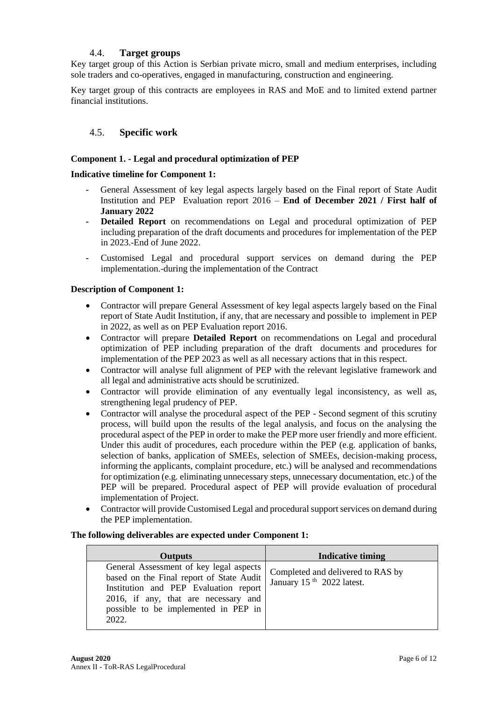# 4.4. **Target groups**

Key target group of this Action is Serbian private micro, small and medium enterprises, including sole traders and co-operatives, engaged in manufacturing, construction and engineering.

Key target group of this contracts are employees in RAS and MoE and to limited extend partner financial institutions.

# 4.5. **Specific work**

### **Component 1. - Legal and procedural optimization of PEP**

### **Indicative timeline for Component 1:**

- **-** General Assessment of key legal aspects largely based on the Final report of State Audit Institution and PEP Evaluation report 2016 – **End of December 2021 / First half of January 2022**
- **- Detailed Report** on recommendations on Legal and procedural optimization of PEP including preparation of the draft documents and procedures for implementation of the PEP in 2023.-End of June 2022.
- **-** Customised Legal and procedural support services on demand during the PEP implementation.-during the implementation of the Contract

### **Description of Component 1:**

- Contractor will prepare General Assessment of key legal aspects largely based on the Final report of State Audit Institution, if any, that are necessary and possible to implement in PEP in 2022, as well as on PEP Evaluation report 2016.
- Contractor will prepare **Detailed Report** on recommendations on Legal and procedural optimization of PEP including preparation of the draft documents and procedures for implementation of the PEP 2023 as well as all necessary actions that in this respect.
- Contractor will analyse full alignment of PEP with the relevant legislative framework and all legal and administrative acts should be scrutinized.
- Contractor will provide elimination of any eventually legal inconsistency, as well as, strengthening legal prudency of PEP.
- Contractor will analyse the procedural aspect of the PEP Second segment of this scrutiny process, will build upon the results of the legal analysis, and focus on the analysing the procedural aspect of the PEP in order to make the PEP more user friendly and more efficient. Under this audit of procedures, each procedure within the PEP (e.g. application of banks, selection of banks, application of SMEEs, selection of SMEEs, decision-making process, informing the applicants, complaint procedure, etc.) will be analysed and recommendations for optimization (e.g. eliminating unnecessary steps, unnecessary documentation, etc.) of the PEP will be prepared. Procedural aspect of PEP will provide evaluation of procedural implementation of Project.
- Contractor will provide Customised Legal and procedural support services on demand during the PEP implementation.

#### **The following deliverables are expected under Component 1:**

| <b>Outputs</b>                                                                                                                                                                                                        | <b>Indicative timing</b>                                                   |
|-----------------------------------------------------------------------------------------------------------------------------------------------------------------------------------------------------------------------|----------------------------------------------------------------------------|
| General Assessment of key legal aspects<br>based on the Final report of State Audit<br>Institution and PEP Evaluation report<br>2016, if any, that are necessary and<br>possible to be implemented in PEP in<br>2022. | Completed and delivered to RAS by<br>January 15 <sup>th</sup> 2022 latest. |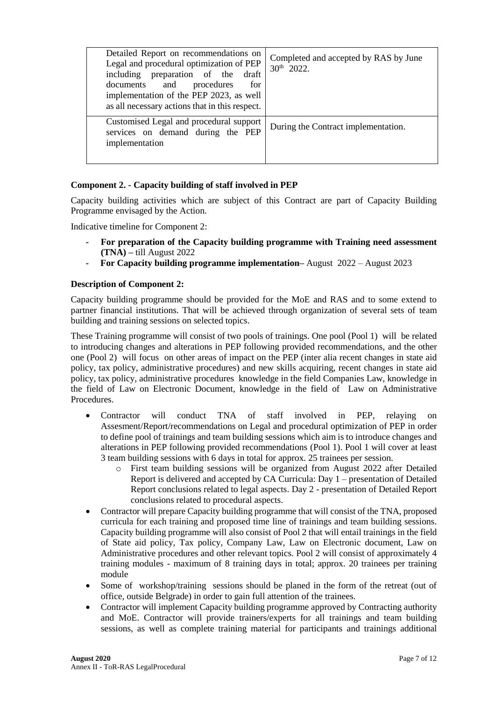| Detailed Report on recommendations on<br>Legal and procedural optimization of PEP<br>including preparation of the<br>draft<br>documents and<br>procedures<br>for<br>implementation of the PEP 2023, as well<br>as all necessary actions that in this respect. | Completed and accepted by RAS by June<br>$30^{th}$ 2022. |
|---------------------------------------------------------------------------------------------------------------------------------------------------------------------------------------------------------------------------------------------------------------|----------------------------------------------------------|
| Customised Legal and procedural support<br>services on demand during the PEP<br>implementation                                                                                                                                                                | During the Contract implementation.                      |
|                                                                                                                                                                                                                                                               |                                                          |

### **Component 2. - Capacity building of staff involved in PEP**

Capacity building activities which are subject of this Contract are part of Capacity Building Programme envisaged by the Action.

Indicative timeline for Component 2:

- **- For preparation of the Capacity building programme with Training need assessment (TNA) –** till August 2022
- **- For Capacity building programme implementation–** August 2022 August 2023

#### **Description of Component 2:**

Capacity building programme should be provided for the MoE and RAS and to some extend to partner financial institutions. That will be achieved through organization of several sets of team building and training sessions on selected topics.

These Training programme will consist of two pools of trainings. One pool (Pool 1) will be related to introducing changes and alterations in PEP following provided recommendations, and the other one (Pool 2) will focus on other areas of impact on the PEP (inter alia recent changes in state aid policy, tax policy, administrative procedures) and new skills acquiring, recent changes in state aid policy, tax policy, administrative procedures knowledge in the field Companies Law, knowledge in the field of Law on Electronic Document, knowledge in the field of Law on Administrative Procedures.

- Contractor will conduct TNA of staff involved in PEP, relaying on Assesment/Report/recommendations on Legal and procedural optimization of PEP in order to define pool of trainings and team building sessions which aim is to introduce changes and alterations in PEP following provided recommendations (Pool 1). Pool 1 will cover at least 3 team building sessions with 6 days in total for approx. 25 trainees per session.
	- o First team building sessions will be organized from August 2022 after Detailed Report is delivered and accepted by CA Curricula: Day 1 – presentation of Detailed Report conclusions related to legal aspects. Day 2 - presentation of Detailed Report conclusions related to procedural aspects.
- Contractor will prepare Capacity building programme that will consist of the TNA, proposed curricula for each training and proposed time line of trainings and team building sessions. Capacity building programme will also consist of Pool 2 that will entail trainings in the field of State aid policy, Tax policy, Company Law, Law on Electronic document, Law on Administrative procedures and other relevant topics. Pool 2 will consist of approximately 4 training modules - maximum of 8 training days in total; approx. 20 trainees per training module
- Some of workshop/training sessions should be planed in the form of the retreat (out of office, outside Belgrade) in order to gain full attention of the trainees.
- Contractor will implement Capacity building programme approved by Contracting authority and MoE. Contractor will provide trainers/experts for all trainings and team building sessions, as well as complete training material for participants and trainings additional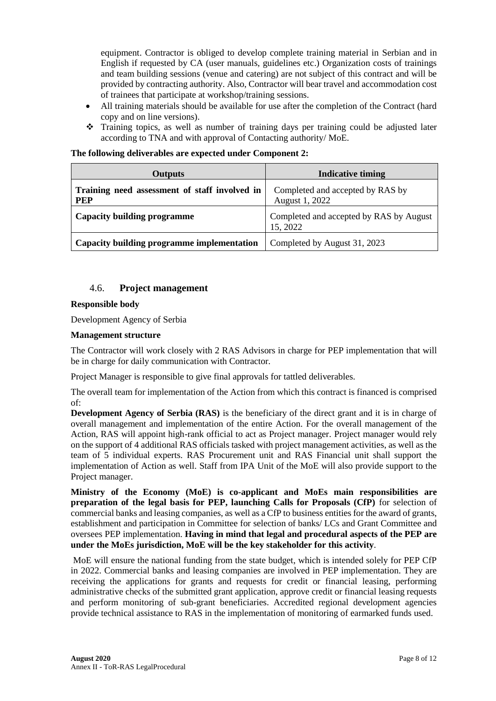equipment. Contractor is obliged to develop complete training material in Serbian and in English if requested by CA (user manuals, guidelines etc.) Organization costs of trainings and team building sessions (venue and catering) are not subject of this contract and will be provided by contracting authority. Also, Contractor will bear travel and accommodation cost of trainees that participate at workshop/training sessions.

- All training materials should be available for use after the completion of the Contract (hard copy and on line versions).
- ❖ Training topics, as well as number of training days per training could be adjusted later according to TNA and with approval of Contacting authority/ MoE.

| <b>Outputs</b>                                              | <b>Indicative timing</b>                            |  |  |
|-------------------------------------------------------------|-----------------------------------------------------|--|--|
| Training need assessment of staff involved in<br><b>PEP</b> | Completed and accepted by RAS by<br>August 1, 2022  |  |  |
| Capacity building programme                                 | Completed and accepted by RAS by August<br>15, 2022 |  |  |
| Capacity building programme implementation                  | Completed by August 31, 2023                        |  |  |

### **The following deliverables are expected under Component 2:**

### 4.6. **Project management**

#### **Responsible body**

Development Agency of Serbia

#### **Management structure**

The Contractor will work closely with 2 RAS Advisors in charge for PEP implementation that will be in charge for daily communication with Contractor.

Project Manager is responsible to give final approvals for tattled deliverables.

The overall team for implementation of the Action from which this contract is financed is comprised of:

**Development Agency of Serbia (RAS)** is the beneficiary of the direct grant and it is in charge of overall management and implementation of the entire Action. For the overall management of the Action, RAS will appoint high-rank official to act as Project manager. Project manager would rely on the support of 4 additional RAS officials tasked with project management activities, as well as the team of 5 individual experts. RAS Procurement unit and RAS Financial unit shall support the implementation of Action as well. Staff from IPA Unit of the MoE will also provide support to the Project manager.

**Ministry of the Economy (MoE) is co-applicant and MoEs main responsibilities are preparation of the legal basis for PEP, launching Calls for Proposals (CfP)** for selection of commercial banks and leasing companies, as well as a CfP to business entities for the award of grants, establishment and participation in Committee for selection of banks/ LCs and Grant Committee and oversees PEP implementation. **Having in mind that legal and procedural aspects of the PEP are under the MoEs jurisdiction, MoE will be the key stakeholder for this activity**.

MoE will ensure the national funding from the state budget, which is intended solely for PEP CfP in 2022. Commercial banks and leasing companies are involved in PEP implementation. They are receiving the applications for grants and requests for credit or financial leasing, performing administrative checks of the submitted grant application, approve credit or financial leasing requests and perform monitoring of sub-grant beneficiaries. Accredited regional development agencies provide technical assistance to RAS in the implementation of monitoring of earmarked funds used.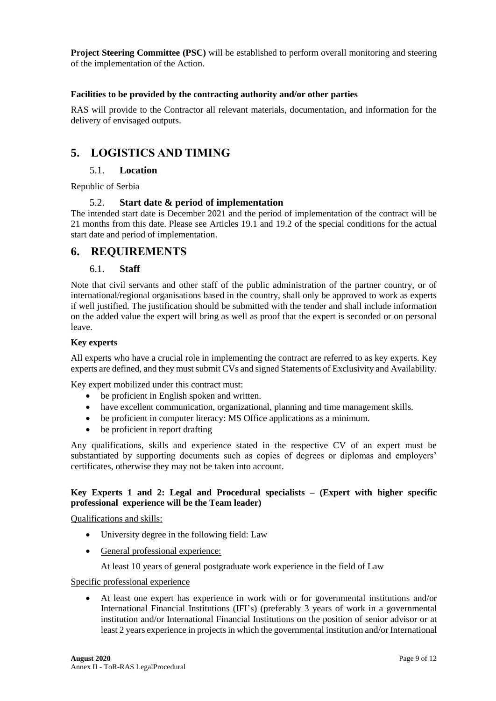**Project Steering Committee (PSC)** will be established to perform overall monitoring and steering of the implementation of the Action.

### **Facilities to be provided by the contracting authority and/or other parties**

RAS will provide to the Contractor all relevant materials, documentation, and information for the delivery of envisaged outputs.

# **5. LOGISTICS AND TIMING**

## 5.1. **Location**

Republic of Serbia

### 5.2. **Start date & period of implementation**

The intended start date is December 2021 and the period of implementation of the contract will be 21 months from this date. Please see Articles 19.1 and 19.2 of the special conditions for the actual start date and period of implementation.

# **6. REQUIREMENTS**

## 6.1. **Staff**

Note that civil servants and other staff of the public administration of the partner country, or of international/regional organisations based in the country, shall only be approved to work as experts if well justified. The justification should be submitted with the tender and shall include information on the added value the expert will bring as well as proof that the expert is seconded or on personal leave.

#### **Key experts**

All experts who have a crucial role in implementing the contract are referred to as key experts. Key experts are defined, and they must submit CVs and signed Statements of Exclusivity and Availability.

Key expert mobilized under this contract must:

- be proficient in English spoken and written.
- have excellent communication, organizational, planning and time management skills.
- be proficient in computer literacy: MS Office applications as a minimum.
- be proficient in report drafting

Any qualifications, skills and experience stated in the respective CV of an expert must be substantiated by supporting documents such as copies of degrees or diplomas and employers' certificates, otherwise they may not be taken into account.

### **Key Experts 1 and 2: Legal and Procedural specialists – (Expert with higher specific professional experience will be the Team leader)**

#### Qualifications and skills:

- University degree in the following field: Law
- General professional experience:

At least 10 years of general postgraduate work experience in the field of Law

#### Specific professional experience

• At least one expert has experience in work with or for governmental institutions and/or International Financial Institutions (IFI's) (preferably 3 years of work in a governmental institution and/or International Financial Institutions on the position of senior advisor or at least 2 years experience in projects in which the governmental institution and/or International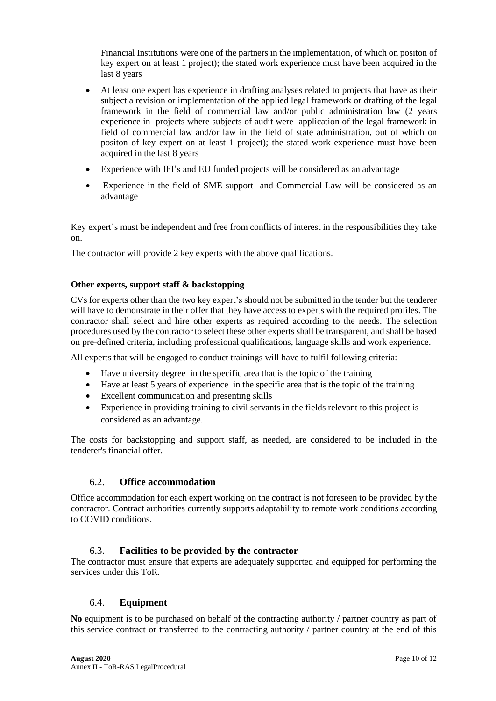Financial Institutions were one of the partners in the implementation, of which on positon of key expert on at least 1 project); the stated work experience must have been acquired in the last 8 years

- At least one expert has experience in drafting analyses related to projects that have as their subject a revision or implementation of the applied legal framework or drafting of the legal framework in the field of commercial law and/or public administration law (2 years experience in projects where subjects of audit were application of the legal framework in field of commercial law and/or law in the field of state administration, out of which on positon of key expert on at least 1 project); the stated work experience must have been acquired in the last 8 years
- Experience with IFI's and EU funded projects will be considered as an advantage
- Experience in the field of SME support and Commercial Law will be considered as an advantage

Key expert's must be independent and free from conflicts of interest in the responsibilities they take on.

The contractor will provide 2 key experts with the above qualifications.

### **Other experts, support staff & backstopping**

CVs for experts other than the two key expert's should not be submitted in the tender but the tenderer will have to demonstrate in their offer that they have access to experts with the required profiles. The contractor shall select and hire other experts as required according to the needs. The selection procedures used by the contractor to select these other experts shall be transparent, and shall be based on pre-defined criteria, including professional qualifications, language skills and work experience.

All experts that will be engaged to conduct trainings will have to fulfil following criteria:

- Have university degree in the specific area that is the topic of the training
- Have at least 5 years of experience in the specific area that is the topic of the training
- Excellent communication and presenting skills
- Experience in providing training to civil servants in the fields relevant to this project is considered as an advantage.

The costs for backstopping and support staff, as needed, are considered to be included in the tenderer's financial offer.

#### 6.2. **Office accommodation**

Office accommodation for each expert working on the contract is not foreseen to be provided by the contractor. Contract authorities currently supports adaptability to remote work conditions according to COVID conditions.

## 6.3. **Facilities to be provided by the contractor**

The contractor must ensure that experts are adequately supported and equipped for performing the services under this ToR.

## 6.4. **Equipment**

**No** equipment is to be purchased on behalf of the contracting authority / partner country as part of this service contract or transferred to the contracting authority / partner country at the end of this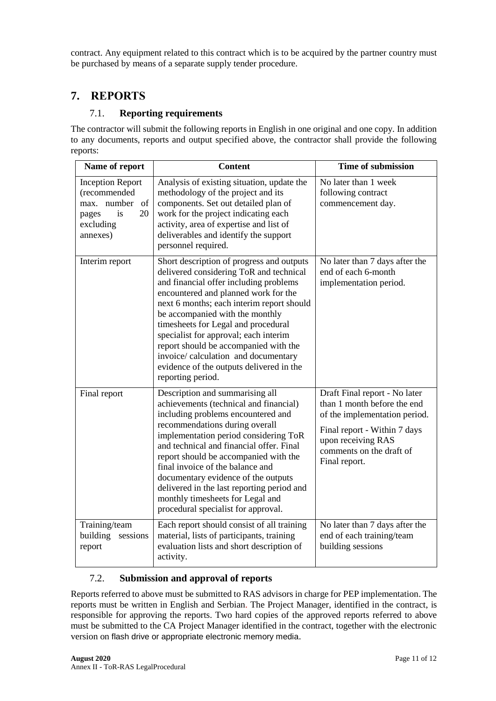contract. Any equipment related to this contract which is to be acquired by the partner country must be purchased by means of a separate supply tender procedure.

# **7. REPORTS**

# 7.1. **Reporting requirements**

The contractor will submit the following reports in English in one original and one copy. In addition to any documents, reports and output specified above, the contractor shall provide the following reports:

| Name of report                                                                                                | <b>Content</b>                                                                                                                                                                                                                                                                                                                                                                                                                                                                           | <b>Time of submission</b>                                                                                                                                                                        |
|---------------------------------------------------------------------------------------------------------------|------------------------------------------------------------------------------------------------------------------------------------------------------------------------------------------------------------------------------------------------------------------------------------------------------------------------------------------------------------------------------------------------------------------------------------------------------------------------------------------|--------------------------------------------------------------------------------------------------------------------------------------------------------------------------------------------------|
| <b>Inception Report</b><br>(recommended<br>number<br>of<br>max.<br>20<br>is<br>pages<br>excluding<br>annexes) | Analysis of existing situation, update the<br>methodology of the project and its<br>components. Set out detailed plan of<br>work for the project indicating each<br>activity, area of expertise and list of<br>deliverables and identify the support<br>personnel required.                                                                                                                                                                                                              | No later than 1 week<br>following contract<br>commencement day.                                                                                                                                  |
| Interim report                                                                                                | Short description of progress and outputs<br>delivered considering ToR and technical<br>and financial offer including problems<br>encountered and planned work for the<br>next 6 months; each interim report should<br>be accompanied with the monthly<br>timesheets for Legal and procedural<br>specialist for approval; each interim<br>report should be accompanied with the<br>invoice/ calculation and documentary<br>evidence of the outputs delivered in the<br>reporting period. | No later than 7 days after the<br>end of each 6-month<br>implementation period.                                                                                                                  |
| Final report                                                                                                  | Description and summarising all<br>achievements (technical and financial)<br>including problems encountered and<br>recommendations during overall<br>implementation period considering ToR<br>and technical and financial offer. Final<br>report should be accompanied with the<br>final invoice of the balance and<br>documentary evidence of the outputs<br>delivered in the last reporting period and<br>monthly timesheets for Legal and<br>procedural specialist for approval.      | Draft Final report - No later<br>than 1 month before the end<br>of the implementation period.<br>Final report - Within 7 days<br>upon receiving RAS<br>comments on the draft of<br>Final report. |
| Training/team<br>building<br>sessions<br>report                                                               | Each report should consist of all training<br>material, lists of participants, training<br>evaluation lists and short description of<br>activity.                                                                                                                                                                                                                                                                                                                                        | No later than 7 days after the<br>end of each training/team<br>building sessions                                                                                                                 |

# 7.2. **Submission and approval of reports**

Reports referred to above must be submitted to RAS advisors in charge for PEP implementation. The reports must be written in English and Serbian. The Project Manager, identified in the contract, is responsible for approving the reports. Two hard copies of the approved reports referred to above must be submitted to the CA Project Manager identified in the contract, together with the electronic version on flash drive or appropriate electronic memory media.